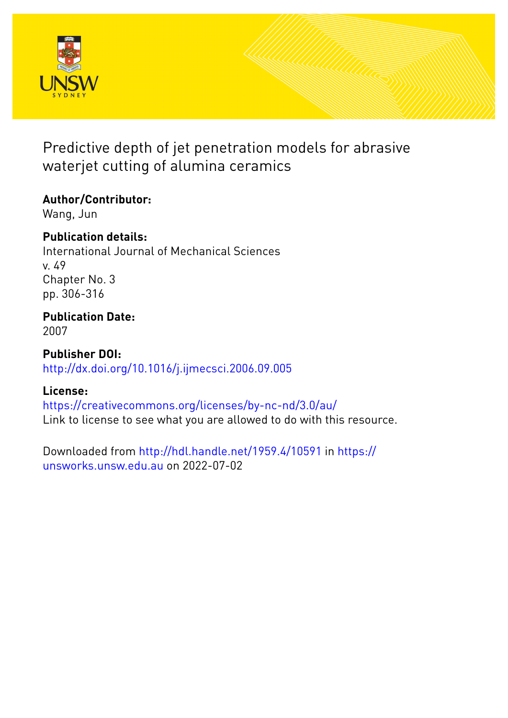

# Predictive depth of jet penetration models for abrasive waterjet cutting of alumina ceramics

## **Author/Contributor:**

Wang, Jun

## **Publication details:**

International Journal of Mechanical Sciences v. 49 Chapter No. 3 pp. 306-316

## **Publication Date:** 2007

**Publisher DOI:** [http://dx.doi.org/10.1016/j.ijmecsci.2006.09.005](http://dx.doi.org/http://dx.doi.org/10.1016/j.ijmecsci.2006.09.005)

## **License:**

<https://creativecommons.org/licenses/by-nc-nd/3.0/au/> Link to license to see what you are allowed to do with this resource.

Downloaded from <http://hdl.handle.net/1959.4/10591> in [https://](https://unsworks.unsw.edu.au) [unsworks.unsw.edu.au](https://unsworks.unsw.edu.au) on 2022-07-02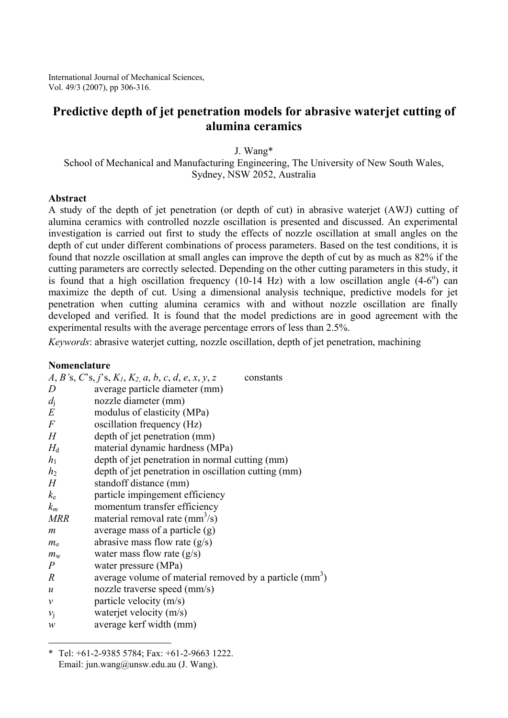International Journal of Mechanical Sciences, Vol. 49/3 (2007), pp 306-316.

## **Predictive depth of jet penetration models for abrasive waterjet cutting of alumina ceramics**

J. Wang\*

School of Mechanical and Manufacturing Engineering, The University of New South Wales, Sydney, NSW 2052, Australia

#### **Abstract**

A study of the depth of jet penetration (or depth of cut) in abrasive waterjet (AWJ) cutting of alumina ceramics with controlled nozzle oscillation is presented and discussed. An experimental investigation is carried out first to study the effects of nozzle oscillation at small angles on the depth of cut under different combinations of process parameters. Based on the test conditions, it is found that nozzle oscillation at small angles can improve the depth of cut by as much as 82% if the cutting parameters are correctly selected. Depending on the other cutting parameters in this study, it is found that a high oscillation frequency  $(10-14 \text{ Hz})$  with a low oscillation angle  $(4-6^{\circ})$  can maximize the depth of cut. Using a dimensional analysis technique, predictive models for jet penetration when cutting alumina ceramics with and without nozzle oscillation are finally developed and verified. It is found that the model predictions are in good agreement with the experimental results with the average percentage errors of less than 2.5%.

*Keywords*: abrasive waterjet cutting, nozzle oscillation, depth of jet penetration, machining

#### **Nomenclature**

 $\overline{a}$ 

|                            | $A, B$ 's, C's, j's, $K_1, K_2, a, b, c, d, e, x, y, z$<br>constants |
|----------------------------|----------------------------------------------------------------------|
| D                          | average particle diameter (mm)                                       |
| $d_i$                      | nozzle diameter (mm)                                                 |
| $E\,$                      | modulus of elasticity (MPa)                                          |
| $\,F$                      | oscillation frequency (Hz)                                           |
| H                          | depth of jet penetration (mm)                                        |
| $H_{\rm d}$                | material dynamic hardness (MPa)                                      |
| h <sub>1</sub>             | depth of jet penetration in normal cutting (mm)                      |
| h <sub>2</sub>             | depth of jet penetration in oscillation cutting (mm)                 |
| H                          | standoff distance (mm)                                               |
| $k_{\rm e}$                | particle impingement efficiency                                      |
| $k_m$                      | momentum transfer efficiency                                         |
| <b>MRR</b>                 | material removal rate $(mm3/s)$                                      |
| m                          | average mass of a particle (g)                                       |
| $m_a$                      | abrasive mass flow rate $(g/s)$                                      |
| $m_{\rm w}$                | water mass flow rate $(g/s)$                                         |
| $\overline{P}$             | water pressure (MPa)                                                 |
| $\boldsymbol{R}$           | average volume of material removed by a particle (mm <sup>3</sup> )  |
| $\boldsymbol{u}$           | nozzle traverse speed (mm/s)                                         |
| $\mathcal V$               | particle velocity (m/s)                                              |
| $v_i$                      | waterjet velocity (m/s)                                              |
| $\boldsymbol{\mathcal{W}}$ | average kerf width (mm)                                              |

<sup>\*</sup> Tel: +61-2-9385 5784; Fax: +61-2-9663 1222. Email: jun.wang@unsw.edu.au (J. Wang).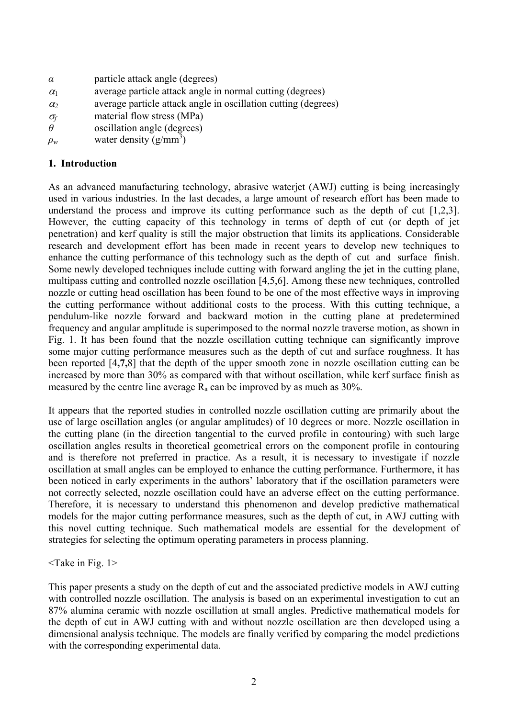- *α* particle attack angle (degrees)
- $\alpha_1$  average particle attack angle in normal cutting (degrees)
- $\alpha_2$  average particle attack angle in oscillation cutting (degrees)
- $\sigma_f$  material flow stress (MPa)
- $\theta$  oscillation angle (degrees)
- $\rho_w$  water density (g/mm<sup>3</sup>)

## **1. Introduction**

As an advanced manufacturing technology, abrasive waterjet (AWJ) cutting is being increasingly used in various industries. In the last decades, a large amount of research effort has been made to understand the process and improve its cutting performance such as the depth of cut [1,2,3]. However, the cutting capacity of this technology in terms of depth of cut (or depth of jet penetration) and kerf quality is still the major obstruction that limits its applications. Considerable research and development effort has been made in recent years to develop new techniques to enhance the cutting performance of this technology such as the depth of cut and surface finish. Some newly developed techniques include cutting with forward angling the jet in the cutting plane, multipass cutting and controlled nozzle oscillation [4,5,6]. Among these new techniques, controlled nozzle or cutting head oscillation has been found to be one of the most effective ways in improving the cutting performance without additional costs to the process. With this cutting technique, a pendulum-like nozzle forward and backward motion in the cutting plane at predetermined frequency and angular amplitude is superimposed to the normal nozzle traverse motion, as shown in Fig. 1. It has been found that the nozzle oscillation cutting technique can significantly improve some major cutting performance measures such as the depth of cut and surface roughness. It has been reported [4**,7,**8] that the depth of the upper smooth zone in nozzle oscillation cutting can be increased by more than 30% as compared with that without oscillation, while kerf surface finish as measured by the centre line average  $R_a$  can be improved by as much as 30%.

It appears that the reported studies in controlled nozzle oscillation cutting are primarily about the use of large oscillation angles (or angular amplitudes) of 10 degrees or more. Nozzle oscillation in the cutting plane (in the direction tangential to the curved profile in contouring) with such large oscillation angles results in theoretical geometrical errors on the component profile in contouring and is therefore not preferred in practice. As a result, it is necessary to investigate if nozzle oscillation at small angles can be employed to enhance the cutting performance. Furthermore, it has been noticed in early experiments in the authors' laboratory that if the oscillation parameters were not correctly selected, nozzle oscillation could have an adverse effect on the cutting performance. Therefore, it is necessary to understand this phenomenon and develop predictive mathematical models for the major cutting performance measures, such as the depth of cut, in AWJ cutting with this novel cutting technique. Such mathematical models are essential for the development of strategies for selecting the optimum operating parameters in process planning.

### $\langle$ Take in Fig. 1 $>$

This paper presents a study on the depth of cut and the associated predictive models in AWJ cutting with controlled nozzle oscillation. The analysis is based on an experimental investigation to cut an 87% alumina ceramic with nozzle oscillation at small angles. Predictive mathematical models for the depth of cut in AWJ cutting with and without nozzle oscillation are then developed using a dimensional analysis technique. The models are finally verified by comparing the model predictions with the corresponding experimental data.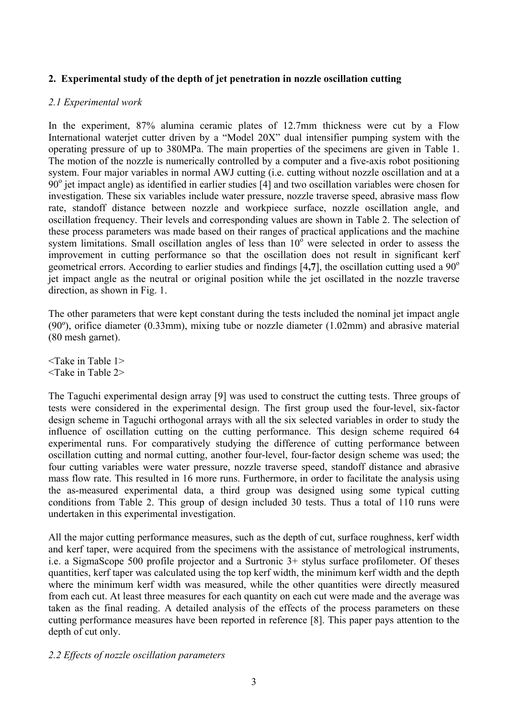## **2. Experimental study of the depth of jet penetration in nozzle oscillation cutting**

## *2.1 Experimental work*

In the experiment, 87% alumina ceramic plates of 12.7mm thickness were cut by a Flow International waterjet cutter driven by a "Model 20X" dual intensifier pumping system with the operating pressure of up to 380MPa. The main properties of the specimens are given in Table 1. The motion of the nozzle is numerically controlled by a computer and a five-axis robot positioning system. Four major variables in normal AWJ cutting (i.e. cutting without nozzle oscillation and at a  $90^\circ$  jet impact angle) as identified in earlier studies [4] and two oscillation variables were chosen for investigation. These six variables include water pressure, nozzle traverse speed, abrasive mass flow rate, standoff distance between nozzle and workpiece surface, nozzle oscillation angle, and oscillation frequency. Their levels and corresponding values are shown in Table 2. The selection of these process parameters was made based on their ranges of practical applications and the machine system limitations. Small oscillation angles of less than  $10^{\circ}$  were selected in order to assess the improvement in cutting performance so that the oscillation does not result in significant kerf geometrical errors. According to earlier studies and findings [4,7], the oscillation cutting used a 90<sup>o</sup> jet impact angle as the neutral or original position while the jet oscillated in the nozzle traverse direction, as shown in Fig. 1.

The other parameters that were kept constant during the tests included the nominal jet impact angle (90º), orifice diameter (0.33mm), mixing tube or nozzle diameter (1.02mm) and abrasive material (80 mesh garnet).

 $\leq$ Take in Table 1> <Take in Table 2>

The Taguchi experimental design array [9] was used to construct the cutting tests. Three groups of tests were considered in the experimental design. The first group used the four-level, six-factor design scheme in Taguchi orthogonal arrays with all the six selected variables in order to study the influence of oscillation cutting on the cutting performance. This design scheme required 64 experimental runs. For comparatively studying the difference of cutting performance between oscillation cutting and normal cutting, another four-level, four-factor design scheme was used; the four cutting variables were water pressure, nozzle traverse speed, standoff distance and abrasive mass flow rate. This resulted in 16 more runs. Furthermore, in order to facilitate the analysis using the as-measured experimental data, a third group was designed using some typical cutting conditions from Table 2. This group of design included 30 tests. Thus a total of 110 runs were undertaken in this experimental investigation.

All the major cutting performance measures, such as the depth of cut, surface roughness, kerf width and kerf taper, were acquired from the specimens with the assistance of metrological instruments, i.e. a SigmaScope 500 profile projector and a Surtronic 3+ stylus surface profilometer. Of theses quantities, kerf taper was calculated using the top kerf width, the minimum kerf width and the depth where the minimum kerf width was measured, while the other quantities were directly measured from each cut. At least three measures for each quantity on each cut were made and the average was taken as the final reading. A detailed analysis of the effects of the process parameters on these cutting performance measures have been reported in reference [8]. This paper pays attention to the depth of cut only.

#### *2.2 Effects of nozzle oscillation parameters*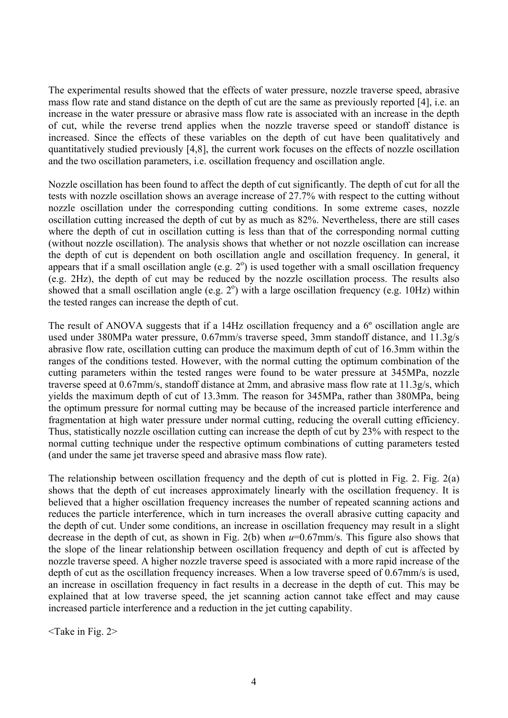The experimental results showed that the effects of water pressure, nozzle traverse speed, abrasive mass flow rate and stand distance on the depth of cut are the same as previously reported [4], i.e. an increase in the water pressure or abrasive mass flow rate is associated with an increase in the depth of cut, while the reverse trend applies when the nozzle traverse speed or standoff distance is increased. Since the effects of these variables on the depth of cut have been qualitatively and quantitatively studied previously [4,8], the current work focuses on the effects of nozzle oscillation and the two oscillation parameters, i.e. oscillation frequency and oscillation angle.

Nozzle oscillation has been found to affect the depth of cut significantly. The depth of cut for all the tests with nozzle oscillation shows an average increase of 27.7% with respect to the cutting without nozzle oscillation under the corresponding cutting conditions. In some extreme cases, nozzle oscillation cutting increased the depth of cut by as much as 82%. Nevertheless, there are still cases where the depth of cut in oscillation cutting is less than that of the corresponding normal cutting (without nozzle oscillation). The analysis shows that whether or not nozzle oscillation can increase the depth of cut is dependent on both oscillation angle and oscillation frequency. In general, it appears that if a small oscillation angle (e.g.  $2^{\circ}$ ) is used together with a small oscillation frequency (e.g. 2Hz), the depth of cut may be reduced by the nozzle oscillation process. The results also showed that a small oscillation angle (e.g.  $2^{\circ}$ ) with a large oscillation frequency (e.g. 10Hz) within the tested ranges can increase the depth of cut.

The result of ANOVA suggests that if a 14Hz oscillation frequency and a 6º oscillation angle are used under 380MPa water pressure, 0.67mm/s traverse speed, 3mm standoff distance, and 11.3g/s abrasive flow rate, oscillation cutting can produce the maximum depth of cut of 16.3mm within the ranges of the conditions tested. However, with the normal cutting the optimum combination of the cutting parameters within the tested ranges were found to be water pressure at 345MPa, nozzle traverse speed at 0.67mm/s, standoff distance at 2mm, and abrasive mass flow rate at 11.3g/s, which yields the maximum depth of cut of 13.3mm. The reason for 345MPa, rather than 380MPa, being the optimum pressure for normal cutting may be because of the increased particle interference and fragmentation at high water pressure under normal cutting, reducing the overall cutting efficiency. Thus, statistically nozzle oscillation cutting can increase the depth of cut by 23% with respect to the normal cutting technique under the respective optimum combinations of cutting parameters tested (and under the same jet traverse speed and abrasive mass flow rate).

The relationship between oscillation frequency and the depth of cut is plotted in Fig. 2. Fig. 2(a) shows that the depth of cut increases approximately linearly with the oscillation frequency. It is believed that a higher oscillation frequency increases the number of repeated scanning actions and reduces the particle interference, which in turn increases the overall abrasive cutting capacity and the depth of cut. Under some conditions, an increase in oscillation frequency may result in a slight decrease in the depth of cut, as shown in Fig. 2(b) when *u*=0.67mm/s. This figure also shows that the slope of the linear relationship between oscillation frequency and depth of cut is affected by nozzle traverse speed. A higher nozzle traverse speed is associated with a more rapid increase of the depth of cut as the oscillation frequency increases. When a low traverse speed of 0.67mm/s is used, an increase in oscillation frequency in fact results in a decrease in the depth of cut. This may be explained that at low traverse speed, the jet scanning action cannot take effect and may cause increased particle interference and a reduction in the jet cutting capability.

<Take in Fig. 2>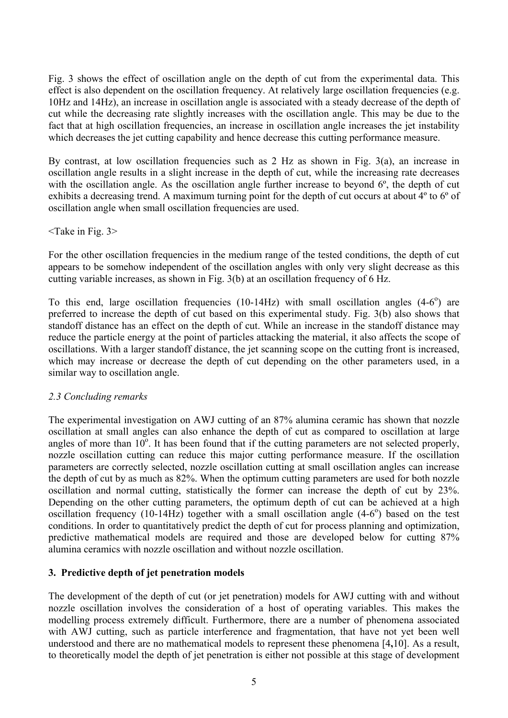Fig. 3 shows the effect of oscillation angle on the depth of cut from the experimental data. This effect is also dependent on the oscillation frequency. At relatively large oscillation frequencies (e.g. 10Hz and 14Hz), an increase in oscillation angle is associated with a steady decrease of the depth of cut while the decreasing rate slightly increases with the oscillation angle. This may be due to the fact that at high oscillation frequencies, an increase in oscillation angle increases the jet instability which decreases the jet cutting capability and hence decrease this cutting performance measure.

By contrast, at low oscillation frequencies such as 2 Hz as shown in Fig. 3(a), an increase in oscillation angle results in a slight increase in the depth of cut, while the increasing rate decreases with the oscillation angle. As the oscillation angle further increase to beyond  $6^\circ$ , the depth of cut exhibits a decreasing trend. A maximum turning point for the depth of cut occurs at about 4º to 6º of oscillation angle when small oscillation frequencies are used.

<Take in Fig. 3>

For the other oscillation frequencies in the medium range of the tested conditions, the depth of cut appears to be somehow independent of the oscillation angles with only very slight decrease as this cutting variable increases, as shown in Fig. 3(b) at an oscillation frequency of 6 Hz.

To this end, large oscillation frequencies  $(10-14Hz)$  with small oscillation angles  $(4-6^{\circ})$  are preferred to increase the depth of cut based on this experimental study. Fig. 3(b) also shows that standoff distance has an effect on the depth of cut. While an increase in the standoff distance may reduce the particle energy at the point of particles attacking the material, it also affects the scope of oscillations. With a larger standoff distance, the jet scanning scope on the cutting front is increased, which may increase or decrease the depth of cut depending on the other parameters used, in a similar way to oscillation angle.

#### *2.3 Concluding remarks*

The experimental investigation on AWJ cutting of an 87% alumina ceramic has shown that nozzle oscillation at small angles can also enhance the depth of cut as compared to oscillation at large angles of more than  $10^{\circ}$ . It has been found that if the cutting parameters are not selected properly, nozzle oscillation cutting can reduce this major cutting performance measure. If the oscillation parameters are correctly selected, nozzle oscillation cutting at small oscillation angles can increase the depth of cut by as much as 82%. When the optimum cutting parameters are used for both nozzle oscillation and normal cutting, statistically the former can increase the depth of cut by 23%. Depending on the other cutting parameters, the optimum depth of cut can be achieved at a high oscillation frequency  $(10-14\text{Hz})$  together with a small oscillation angle  $(4-6^{\circ})$  based on the test conditions. In order to quantitatively predict the depth of cut for process planning and optimization, predictive mathematical models are required and those are developed below for cutting 87% alumina ceramics with nozzle oscillation and without nozzle oscillation.

### **3. Predictive depth of jet penetration models**

The development of the depth of cut (or jet penetration) models for AWJ cutting with and without nozzle oscillation involves the consideration of a host of operating variables. This makes the modelling process extremely difficult. Furthermore, there are a number of phenomena associated with AWJ cutting, such as particle interference and fragmentation, that have not yet been well understood and there are no mathematical models to represent these phenomena [4**,**10]. As a result, to theoretically model the depth of jet penetration is either not possible at this stage of development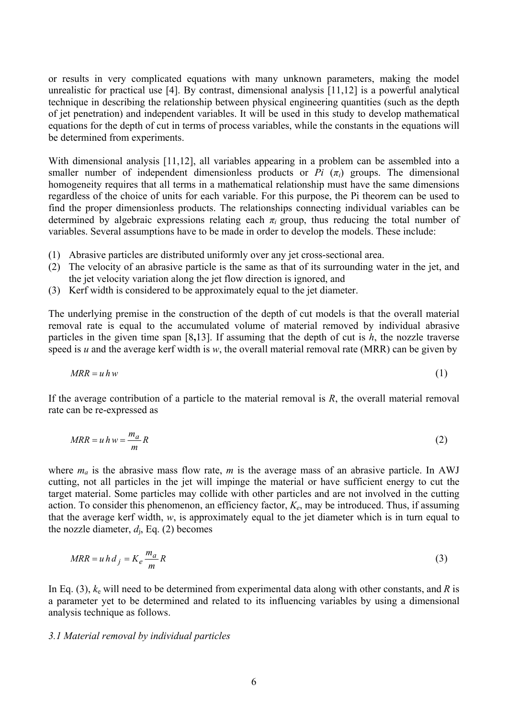or results in very complicated equations with many unknown parameters, making the model unrealistic for practical use [4]. By contrast, dimensional analysis [11,12] is a powerful analytical technique in describing the relationship between physical engineering quantities (such as the depth of jet penetration) and independent variables. It will be used in this study to develop mathematical equations for the depth of cut in terms of process variables, while the constants in the equations will be determined from experiments.

With dimensional analysis [11,12], all variables appearing in a problem can be assembled into a smaller number of independent dimensionless products or  $Pi(\pi_i)$  groups. The dimensional homogeneity requires that all terms in a mathematical relationship must have the same dimensions regardless of the choice of units for each variable. For this purpose, the Pi theorem can be used to find the proper dimensionless products. The relationships connecting individual variables can be determined by algebraic expressions relating each  $\pi$ *i* group, thus reducing the total number of variables. Several assumptions have to be made in order to develop the models. These include:

- (1) Abrasive particles are distributed uniformly over any jet cross-sectional area.
- (2) The velocity of an abrasive particle is the same as that of its surrounding water in the jet, and the jet velocity variation along the jet flow direction is ignored, and
- (3) Kerf width is considered to be approximately equal to the jet diameter.

The underlying premise in the construction of the depth of cut models is that the overall material removal rate is equal to the accumulated volume of material removed by individual abrasive particles in the given time span [8**,**13]. If assuming that the depth of cut is *h*, the nozzle traverse speed is *u* and the average kerf width is *w*, the overall material removal rate (MRR) can be given by

$$
MRR = uhw \tag{1}
$$

If the average contribution of a particle to the material removal is *R*, the overall material removal rate can be re-expressed as

$$
MR = u h w = \frac{m_a}{m} R \tag{2}
$$

where  $m_a$  is the abrasive mass flow rate,  $m$  is the average mass of an abrasive particle. In AWJ cutting, not all particles in the jet will impinge the material or have sufficient energy to cut the target material. Some particles may collide with other particles and are not involved in the cutting action. To consider this phenomenon, an efficiency factor, *Ke*, may be introduced. Thus, if assuming that the average kerf width, *w*, is approximately equal to the jet diameter which is in turn equal to the nozzle diameter,  $d_i$ , Eq. (2) becomes

$$
MR = u h d_j = K_e \frac{m_a}{m} R \tag{3}
$$

In Eq. (3),  $k_e$  will need to be determined from experimental data along with other constants, and R is a parameter yet to be determined and related to its influencing variables by using a dimensional analysis technique as follows.

#### *3.1 Material removal by individual particles*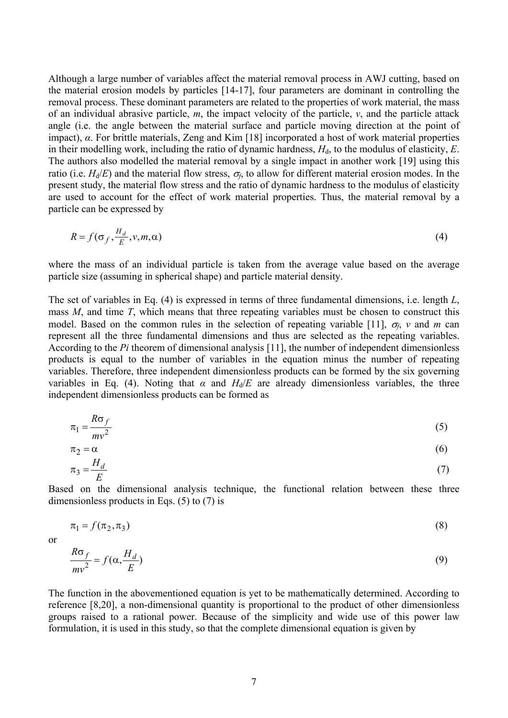Although a large number of variables affect the material removal process in AWJ cutting, based on the material erosion models by particles [14-17], four parameters are dominant in controlling the removal process. These dominant parameters are related to the properties of work material, the mass of an individual abrasive particle, *m*, the impact velocity of the particle, *v*, and the particle attack angle (i.e. the angle between the material surface and particle moving direction at the point of impact), *α*. For brittle materials, Zeng and Kim [18] incorporated a host of work material properties in their modelling work, including the ratio of dynamic hardness,  $H_d$ , to the modulus of elasticity,  $E$ . The authors also modelled the material removal by a single impact in another work [19] using this ratio (i.e.  $H_d/E$ ) and the material flow stress,  $\sigma_f$ , to allow for different material erosion modes. In the present study, the material flow stress and the ratio of dynamic hardness to the modulus of elasticity are used to account for the effect of work material properties. Thus, the material removal by a particle can be expressed by

$$
R = f(\sigma_f, \frac{H_d}{E}, \nu, m, \alpha) \tag{4}
$$

where the mass of an individual particle is taken from the average value based on the average particle size (assuming in spherical shape) and particle material density.

The set of variables in Eq. (4) is expressed in terms of three fundamental dimensions, i.e. length *L*, mass *M*, and time *T*, which means that three repeating variables must be chosen to construct this model. Based on the common rules in the selection of repeating variable [11], <sup>σ</sup>*f*, *v* and *m* can represent all the three fundamental dimensions and thus are selected as the repeating variables. According to the *Pi* theorem of dimensional analysis [11], the number of independent dimensionless products is equal to the number of variables in the equation minus the number of repeating variables. Therefore, three independent dimensionless products can be formed by the six governing variables in Eq. (4). Noting that  $\alpha$  and  $H_d/E$  are already dimensionless variables, the three independent dimensionless products can be formed as

$$
\pi_1 = \frac{R\sigma_f}{mv^2} \tag{5}
$$

$$
\pi_2 = \alpha \tag{6}
$$

$$
\pi_3 = \frac{H_d}{E} \tag{7}
$$

Based on the dimensional analysis technique, the functional relation between these three dimensionless products in Eqs. (5) to (7) is

$$
\pi_1 = f(\pi_2, \pi_3) \tag{8}
$$

or

*H*

$$
\frac{R\sigma_f}{mv^2} = f(\alpha, \frac{H_d}{E})
$$
\n(9)

The function in the abovementioned equation is yet to be mathematically determined. According to reference [8,20], a non-dimensional quantity is proportional to the product of other dimensionless groups raised to a rational power. Because of the simplicity and wide use of this power law formulation, it is used in this study, so that the complete dimensional equation is given by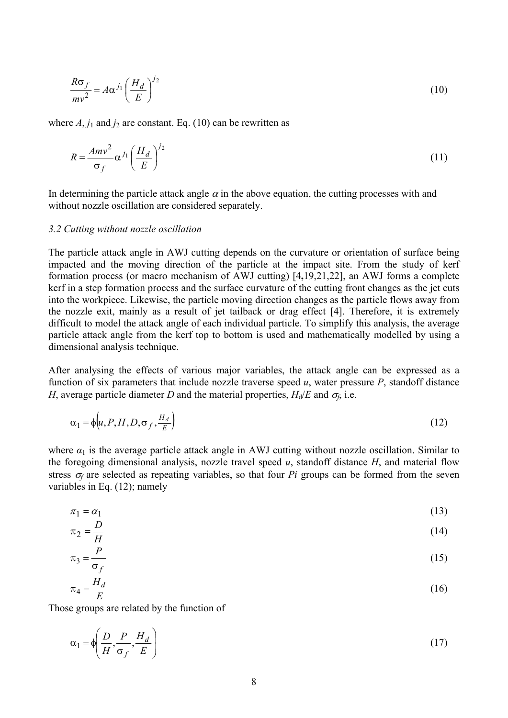$$
\frac{R\sigma_f}{mv^2} = A\alpha^{j_1} \left(\frac{H_d}{E}\right)^{j_2}
$$
 (10)

where  $A$ ,  $j_1$  and  $j_2$  are constant. Eq. (10) can be rewritten as

$$
R = \frac{Amv^2}{\sigma_f} \alpha^{j_1} \left(\frac{H_d}{E}\right)^{j_2}
$$
 (11)

In determining the particle attack angle  $\alpha$  in the above equation, the cutting processes with and without nozzle oscillation are considered separately.

#### *3.2 Cutting without nozzle oscillation*

The particle attack angle in AWJ cutting depends on the curvature or orientation of surface being impacted and the moving direction of the particle at the impact site. From the study of kerf formation process (or macro mechanism of AWJ cutting) [4**,**19,21,22], an AWJ forms a complete kerf in a step formation process and the surface curvature of the cutting front changes as the jet cuts into the workpiece. Likewise, the particle moving direction changes as the particle flows away from the nozzle exit, mainly as a result of jet tailback or drag effect [4]. Therefore, it is extremely difficult to model the attack angle of each individual particle. To simplify this analysis, the average particle attack angle from the kerf top to bottom is used and mathematically modelled by using a dimensional analysis technique.

After analysing the effects of various major variables, the attack angle can be expressed as a function of six parameters that include nozzle traverse speed  $u$ , water pressure  $P$ , standoff distance *H*, average particle diameter *D* and the material properties,  $H_d/E$  and  $\sigma_f$ , i.e.

$$
\alpha_1 = \phi \bigg( u, P, H, D, \sigma_f, \frac{H_d}{E} \bigg) \tag{12}
$$

where  $\alpha_1$  is the average particle attack angle in AWJ cutting without nozzle oscillation. Similar to the foregoing dimensional analysis, nozzle travel speed *u*, standoff distance *H*, and material flow stress  $\sigma_f$  are selected as repeating variables, so that four *Pi* groups can be formed from the seven variables in Eq. (12); namely

$$
\pi_1 = \alpha_1 \tag{13}
$$

$$
\pi_2 = \frac{D}{H} \tag{14}
$$

$$
\pi_3 = \frac{P}{I} \tag{15}
$$

$$
\pi_4 = \frac{H_d}{E} \tag{16}
$$

Those groups are related by the function of

$$
\alpha_1 = \phi \left( \frac{D}{H}, \frac{P}{\sigma_f}, \frac{H_d}{E} \right) \tag{17}
$$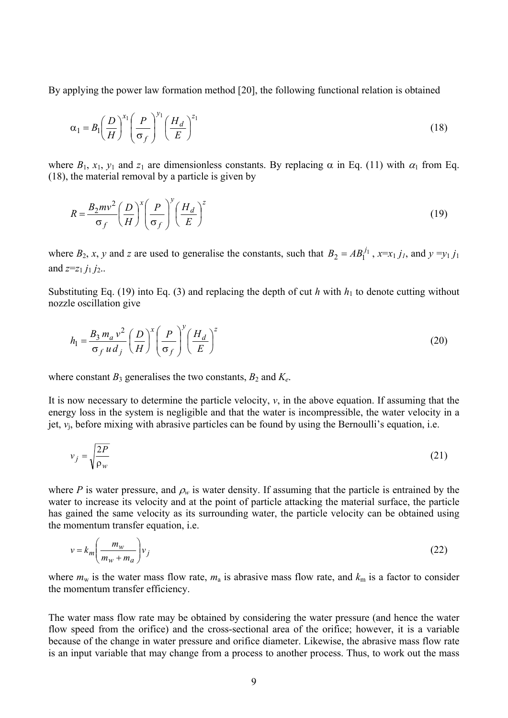By applying the power law formation method [20], the following functional relation is obtained

$$
\alpha_1 = B_1 \left(\frac{D}{H}\right)^{x_1} \left(\frac{P}{\sigma_f}\right)^{y_1} \left(\frac{H_d}{E}\right)^{z_1} \tag{18}
$$

where  $B_1$ ,  $x_1$ ,  $y_1$  and  $z_1$  are dimensionless constants. By replacing  $\alpha$  in Eq. (11) with  $\alpha_1$  from Eq. (18), the material removal by a particle is given by

$$
R = \frac{B_2 m v^2}{\sigma_f} \left(\frac{D}{H}\right)^x \left(\frac{P}{\sigma_f}\right)^y \left(\frac{H_d}{E}\right)^z \tag{19}
$$

where  $B_2$ , *x*, *y* and *z* are used to generalise the constants, such that  $B_2 = AB_1^{j_1}$ ,  $x=x_1 j_1$ , and  $y =y_1 j_1$ and  $z=z_1 j_1 j_2$ ...

Substituting Eq. (19) into Eq. (3) and replacing the depth of cut *h* with  $h_1$  to denote cutting without nozzle oscillation give

$$
h_1 = \frac{B_3 m_a v^2}{\sigma_f u d_j} \left(\frac{D}{H}\right)^x \left(\frac{P}{\sigma_f}\right)^y \left(\frac{H_d}{E}\right)^z
$$
 (20)

where constant  $B_3$  generalises the two constants,  $B_2$  and  $K_e$ .

It is now necessary to determine the particle velocity,  $v$ , in the above equation. If assuming that the energy loss in the system is negligible and that the water is incompressible, the water velocity in a jet, *v*j, before mixing with abrasive particles can be found by using the Bernoulli's equation, i.e.

$$
v_j = \sqrt{\frac{2P}{\rho_w}}\tag{21}
$$

where *P* is water pressure, and  $\rho_w$  is water density. If assuming that the particle is entrained by the water to increase its velocity and at the point of particle attacking the material surface, the particle has gained the same velocity as its surrounding water, the particle velocity can be obtained using the momentum transfer equation, i.e.

$$
v = k_m \left( \frac{m_w}{m_w + m_a} \right) v_j \tag{22}
$$

where  $m_w$  is the water mass flow rate,  $m_a$  is abrasive mass flow rate, and  $k_m$  is a factor to consider the momentum transfer efficiency.

The water mass flow rate may be obtained by considering the water pressure (and hence the water flow speed from the orifice) and the cross-sectional area of the orifice; however, it is a variable because of the change in water pressure and orifice diameter. Likewise, the abrasive mass flow rate is an input variable that may change from a process to another process. Thus, to work out the mass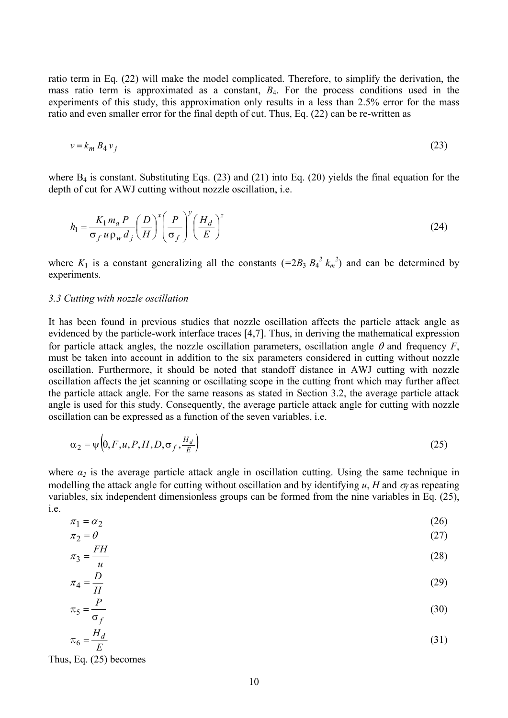ratio term in Eq. (22) will make the model complicated. Therefore, to simplify the derivation, the mass ratio term is approximated as a constant, *B*4. For the process conditions used in the experiments of this study, this approximation only results in a less than 2.5% error for the mass ratio and even smaller error for the final depth of cut. Thus, Eq. (22) can be re-written as

$$
v = k_m B_4 v_j \tag{23}
$$

where  $B_4$  is constant. Substituting Eqs. (23) and (21) into Eq. (20) yields the final equation for the depth of cut for AWJ cutting without nozzle oscillation, i.e.

$$
h_1 = \frac{K_1 m_a P}{\sigma_f u \rho_w d_j} \left(\frac{D}{H}\right)^x \left(\frac{P}{\sigma_f}\right)^y \left(\frac{H_d}{E}\right)^z \tag{24}
$$

where  $K_1$  is a constant generalizing all the constants  $(=2B_3 B_4^2 k_m^2)$  and can be determined by experiments.

#### *3.3 Cutting with nozzle oscillation*

It has been found in previous studies that nozzle oscillation affects the particle attack angle as evidenced by the particle-work interface traces [4,7]. Thus, in deriving the mathematical expression for particle attack angles, the nozzle oscillation parameters, oscillation angle  $\theta$  and frequency *F*, must be taken into account in addition to the six parameters considered in cutting without nozzle oscillation. Furthermore, it should be noted that standoff distance in AWJ cutting with nozzle oscillation affects the jet scanning or oscillating scope in the cutting front which may further affect the particle attack angle. For the same reasons as stated in Section 3.2, the average particle attack angle is used for this study. Consequently, the average particle attack angle for cutting with nozzle oscillation can be expressed as a function of the seven variables, i.e.

$$
\alpha_2 = \psi \left( \theta, F, u, P, H, D, \sigma_f, \frac{H_d}{E} \right) \tag{25}
$$

where  $\alpha_2$  is the average particle attack angle in oscillation cutting. Using the same technique in modelling the attack angle for cutting without oscillation and by identifying *u*, *H* and  $\sigma_f$  as repeating variables, six independent dimensionless groups can be formed from the nine variables in Eq. (25), i.e.

$$
\pi_1 = \alpha_2 \tag{26}
$$

$$
\pi_2 = \theta \tag{27}
$$

$$
\pi_3 = \frac{1}{u}
$$
\n
$$
\pi_4 = \frac{D}{u}
$$
\n(28)

$$
\pi_5 = \frac{P}{\sigma_f} \tag{30}
$$

$$
\pi_6 = \frac{H_d}{E} \tag{31}
$$

Thus, Eq. (25) becomes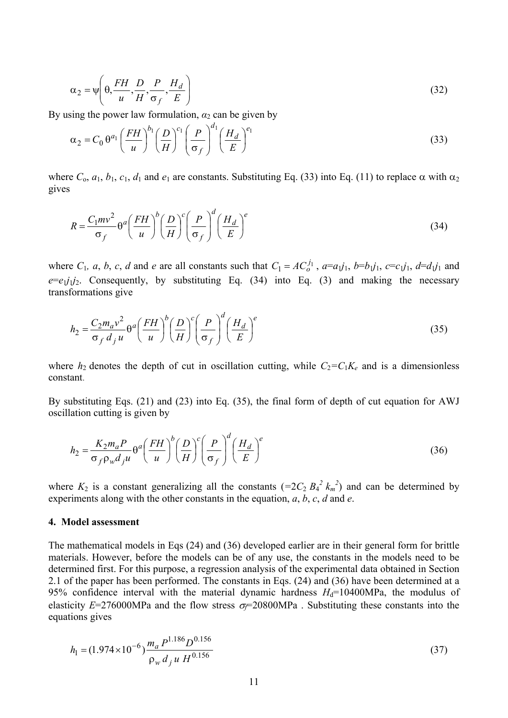$$
\alpha_2 = \psi \left( \theta, \frac{FH}{u}, \frac{D}{H}, \frac{P}{\sigma_f}, \frac{H_d}{E} \right)
$$
\n(32)

By using the power law formulation,  $\alpha_2$  can be given by

$$
\alpha_2 = C_0 \theta^{a_1} \left(\frac{FH}{u}\right)^{b_1} \left(\frac{D}{H}\right)^{c_1} \left(\frac{P}{\sigma_f}\right)^{d_1} \left(\frac{H_d}{E}\right)^{e_1}
$$
\n(33)

where  $C_0$ ,  $a_1$ ,  $b_1$ ,  $c_1$ ,  $d_1$  and  $e_1$  are constants. Substituting Eq. (33) into Eq. (11) to replace  $\alpha$  with  $\alpha_2$ gives

$$
R = \frac{C_1 m v^2}{\sigma_f} \Theta^a \left(\frac{FH}{u}\right)^b \left(\frac{D}{H}\right)^c \left(\frac{P}{\sigma_f}\right)^d \left(\frac{H_d}{E}\right)^e \tag{34}
$$

where  $C_1$ , a, b, c, d and e are all constants such that  $C_1 = AC_0^{j_1}$ ,  $a=a_1j_1$ ,  $b=b_1j_1$ ,  $c=c_1j_1$ ,  $d=d_1j_1$  and  $e=e_1j_1j_2$ . Consequently, by substituting Eq. (34) into Eq. (3) and making the necessary transformations give

$$
h_2 = \frac{C_2 m_a v^2}{\sigma_f d_j u} \theta^a \left(\frac{FH}{u}\right)^b \left(\frac{D}{H}\right)^c \left(\frac{P}{\sigma_f}\right)^d \left(\frac{H_d}{E}\right)^e \tag{35}
$$

where  $h_2$  denotes the depth of cut in oscillation cutting, while  $C_2 = C_1 K_e$  and is a dimensionless constant.

By substituting Eqs. (21) and (23) into Eq. (35), the final form of depth of cut equation for AWJ oscillation cutting is given by

$$
h_2 = \frac{K_2 m_a P}{\sigma_f \rho_w d_j u} \theta^a \left(\frac{FH}{u}\right)^b \left(\frac{D}{H}\right)^c \left(\frac{P}{\sigma_f}\right)^d \left(\frac{H_d}{E}\right)^e \tag{36}
$$

where  $K_2$  is a constant generalizing all the constants  $(=2C_2 B_4^2 k_m^2)$  and can be determined by experiments along with the other constants in the equation, *a*, *b*, *c*, *d* and *e*.

#### **4. Model assessment**

The mathematical models in Eqs (24) and (36) developed earlier are in their general form for brittle materials. However, before the models can be of any use, the constants in the models need to be determined first. For this purpose, a regression analysis of the experimental data obtained in Section 2.1 of the paper has been performed. The constants in Eqs. (24) and (36) have been determined at a 95% confidence interval with the material dynamic hardness  $H_d$ =10400MPa, the modulus of elasticity  $E=276000$ MPa and the flow stress  $\sigma = 20800$ MPa. Substituting these constants into the equations gives

$$
h_1 = (1.974 \times 10^{-6}) \frac{m_a P^{1.186} D^{0.156}}{\rho_w d_j u H^{0.156}}
$$
\n(37)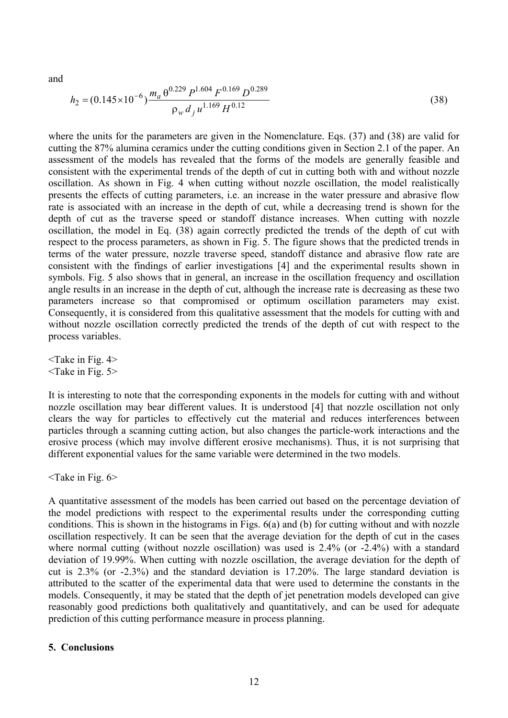and

$$
h_2 = (0.145 \times 10^{-6}) \frac{m_a \theta^{0.229} P^{1.604} F^{0.169} D^{0.289}}{\rho_w d_j u^{1.169} H^{0.12}}
$$
(38)

where the units for the parameters are given in the Nomenclature. Eqs. (37) and (38) are valid for cutting the 87% alumina ceramics under the cutting conditions given in Section 2.1 of the paper. An assessment of the models has revealed that the forms of the models are generally feasible and consistent with the experimental trends of the depth of cut in cutting both with and without nozzle oscillation. As shown in Fig. 4 when cutting without nozzle oscillation, the model realistically presents the effects of cutting parameters, i.e. an increase in the water pressure and abrasive flow rate is associated with an increase in the depth of cut, while a decreasing trend is shown for the depth of cut as the traverse speed or standoff distance increases. When cutting with nozzle oscillation, the model in Eq. (38) again correctly predicted the trends of the depth of cut with respect to the process parameters, as shown in Fig. 5. The figure shows that the predicted trends in terms of the water pressure, nozzle traverse speed, standoff distance and abrasive flow rate are consistent with the findings of earlier investigations [4] and the experimental results shown in symbols. Fig. 5 also shows that in general, an increase in the oscillation frequency and oscillation angle results in an increase in the depth of cut, although the increase rate is decreasing as these two parameters increase so that compromised or optimum oscillation parameters may exist. Consequently, it is considered from this qualitative assessment that the models for cutting with and without nozzle oscillation correctly predicted the trends of the depth of cut with respect to the process variables.

 $\leq$ Take in Fig. 4>  $\langle$ Take in Fig. 5 $>$ 

It is interesting to note that the corresponding exponents in the models for cutting with and without nozzle oscillation may bear different values. It is understood [4] that nozzle oscillation not only clears the way for particles to effectively cut the material and reduces interferences between particles through a scanning cutting action, but also changes the particle-work interactions and the erosive process (which may involve different erosive mechanisms). Thus, it is not surprising that different exponential values for the same variable were determined in the two models.

 $\leq$ Take in Fig. 6>

A quantitative assessment of the models has been carried out based on the percentage deviation of the model predictions with respect to the experimental results under the corresponding cutting conditions. This is shown in the histograms in Figs. 6(a) and (b) for cutting without and with nozzle oscillation respectively. It can be seen that the average deviation for the depth of cut in the cases where normal cutting (without nozzle oscillation) was used is  $2.4\%$  (or  $-2.4\%$ ) with a standard deviation of 19.99%. When cutting with nozzle oscillation, the average deviation for the depth of cut is 2.3% (or -2.3%) and the standard deviation is 17.20%. The large standard deviation is attributed to the scatter of the experimental data that were used to determine the constants in the models. Consequently, it may be stated that the depth of jet penetration models developed can give reasonably good predictions both qualitatively and quantitatively, and can be used for adequate prediction of this cutting performance measure in process planning.

#### **5. Conclusions**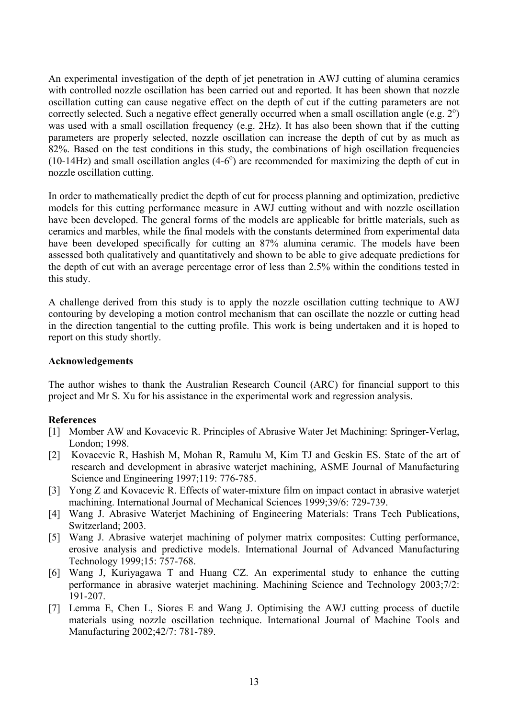An experimental investigation of the depth of jet penetration in AWJ cutting of alumina ceramics with controlled nozzle oscillation has been carried out and reported. It has been shown that nozzle oscillation cutting can cause negative effect on the depth of cut if the cutting parameters are not correctly selected. Such a negative effect generally occurred when a small oscillation angle (e.g.  $2^{\circ}$ ) was used with a small oscillation frequency (e.g. 2Hz). It has also been shown that if the cutting parameters are properly selected, nozzle oscillation can increase the depth of cut by as much as 82%. Based on the test conditions in this study, the combinations of high oscillation frequencies (10-14Hz) and small oscillation angles  $(4-6^{\circ})$  are recommended for maximizing the depth of cut in nozzle oscillation cutting.

In order to mathematically predict the depth of cut for process planning and optimization, predictive models for this cutting performance measure in AWJ cutting without and with nozzle oscillation have been developed. The general forms of the models are applicable for brittle materials, such as ceramics and marbles, while the final models with the constants determined from experimental data have been developed specifically for cutting an 87% alumina ceramic. The models have been assessed both qualitatively and quantitatively and shown to be able to give adequate predictions for the depth of cut with an average percentage error of less than 2.5% within the conditions tested in this study.

A challenge derived from this study is to apply the nozzle oscillation cutting technique to AWJ contouring by developing a motion control mechanism that can oscillate the nozzle or cutting head in the direction tangential to the cutting profile. This work is being undertaken and it is hoped to report on this study shortly.

### **Acknowledgements**

The author wishes to thank the Australian Research Council (ARC) for financial support to this project and Mr S. Xu for his assistance in the experimental work and regression analysis.

#### **References**

- [1] Momber AW and Kovacevic R. Principles of Abrasive Water Jet Machining: Springer-Verlag, London; 1998.
- [2] Kovacevic R, Hashish M, Mohan R, Ramulu M, Kim TJ and Geskin ES. State of the art of research and development in abrasive waterjet machining, ASME Journal of Manufacturing Science and Engineering 1997;119: 776-785.
- [3] Yong Z and Kovacevic R. Effects of water-mixture film on impact contact in abrasive waterjet machining. International Journal of Mechanical Sciences 1999;39/6: 729-739.
- [4] Wang J. Abrasive Waterjet Machining of Engineering Materials: Trans Tech Publications, Switzerland; 2003.
- [5] Wang J. Abrasive waterjet machining of polymer matrix composites: Cutting performance, erosive analysis and predictive models. International Journal of Advanced Manufacturing Technology 1999;15: 757-768.
- [6] Wang J, Kuriyagawa T and Huang CZ. An experimental study to enhance the cutting performance in abrasive waterjet machining. Machining Science and Technology 2003;7/2: 191-207.
- [7] Lemma E, Chen L, Siores E and Wang J. Optimising the AWJ cutting process of ductile materials using nozzle oscillation technique. International Journal of Machine Tools and Manufacturing 2002;42/7: 781-789.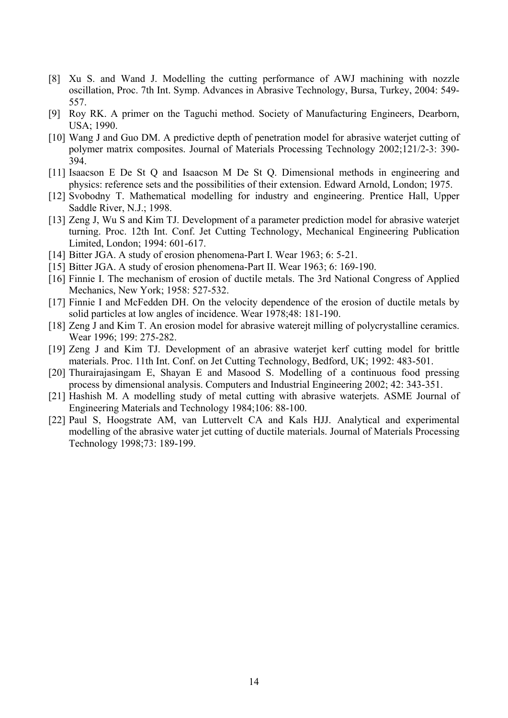- [8] Xu S. and Wand J. Modelling the cutting performance of AWJ machining with nozzle oscillation, Proc. 7th Int. Symp. Advances in Abrasive Technology, Bursa, Turkey, 2004: 549- 557.
- [9] Roy RK. A primer on the Taguchi method. Society of Manufacturing Engineers, Dearborn, USA; 1990.
- [10] Wang J and Guo DM. A predictive depth of penetration model for abrasive waterjet cutting of polymer matrix composites. Journal of Materials Processing Technology 2002;121/2-3: 390- 394.
- [11] Isaacson E De St Q and Isaacson M De St Q. Dimensional methods in engineering and physics: reference sets and the possibilities of their extension. Edward Arnold, London; 1975.
- [12] Svobodny T. Mathematical modelling for industry and engineering. Prentice Hall, Upper Saddle River, N.J.; 1998.
- [13] Zeng J, Wu S and Kim TJ. Development of a parameter prediction model for abrasive waterjet turning. Proc. 12th Int. Conf. Jet Cutting Technology, Mechanical Engineering Publication Limited, London; 1994: 601-617.
- [14] Bitter JGA. A study of erosion phenomena-Part I. Wear 1963; 6: 5-21.
- [15] Bitter JGA. A study of erosion phenomena-Part II. Wear 1963; 6: 169-190.
- [16] Finnie I. The mechanism of erosion of ductile metals. The 3rd National Congress of Applied Mechanics, New York; 1958: 527-532.
- [17] Finnie I and McFedden DH. On the velocity dependence of the erosion of ductile metals by solid particles at low angles of incidence. Wear 1978;48: 181-190.
- [18] Zeng J and Kim T. An erosion model for abrasive waterejt milling of polycrystalline ceramics. Wear 1996; 199: 275-282.
- [19] Zeng J and Kim TJ. Development of an abrasive waterjet kerf cutting model for brittle materials. Proc. 11th Int. Conf. on Jet Cutting Technology, Bedford, UK; 1992: 483-501.
- [20] Thurairajasingam E, Shayan E and Masood S. Modelling of a continuous food pressing process by dimensional analysis. Computers and Industrial Engineering 2002; 42: 343-351.
- [21] Hashish M. A modelling study of metal cutting with abrasive waterjets. ASME Journal of Engineering Materials and Technology 1984;106: 88-100.
- [22] Paul S, Hoogstrate AM, van Luttervelt CA and Kals HJJ. Analytical and experimental modelling of the abrasive water jet cutting of ductile materials. Journal of Materials Processing Technology 1998;73: 189-199.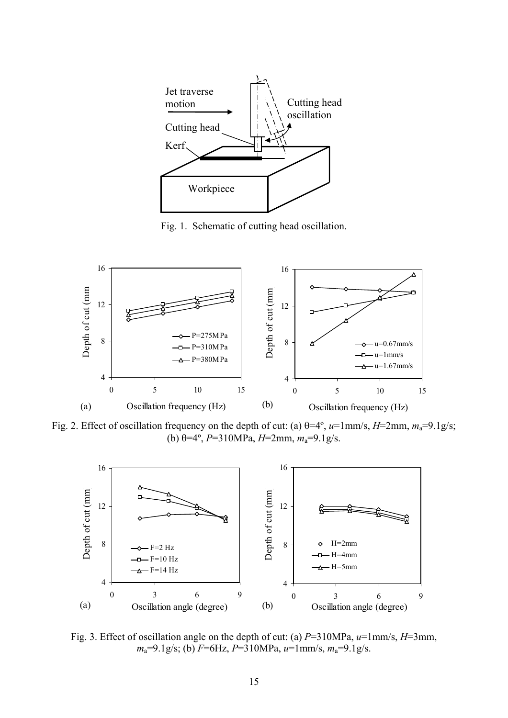

Fig. 1. Schematic of cutting head oscillation.



Fig. 2. Effect of oscillation frequency on the depth of cut: (a) θ=4º, *u*=1mm/s, *H*=2mm, *m*a=9.1g/s; (b)  $\theta = 4^\circ$ , *P*=310MPa, *H*=2mm,  $m_a$ =9.1g/s.



Fig. 3. Effect of oscillation angle on the depth of cut: (a) *P*=310MPa, *u*=1mm/s, *H*=3mm, *m*a=9.1g/s; (b) *F*=6Hz, *P*=310MPa, *u*=1mm/s, *m*a=9.1g/s.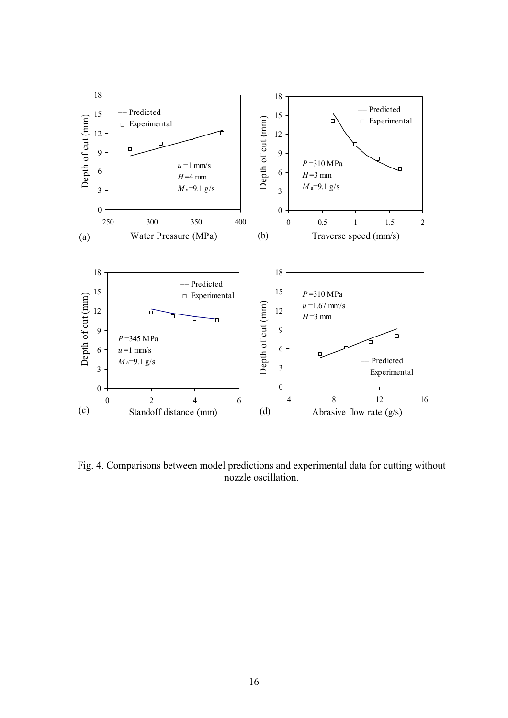

Fig. 4. Comparisons between model predictions and experimental data for cutting without nozzle oscillation.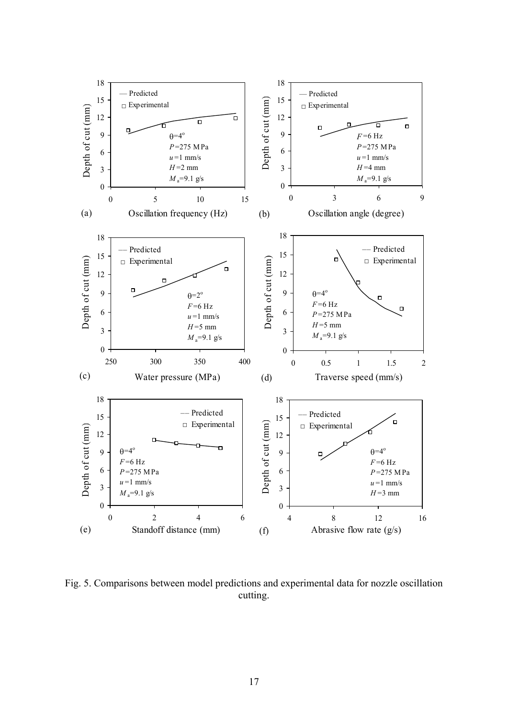

Fig. 5. Comparisons between model predictions and experimental data for nozzle oscillation cutting.